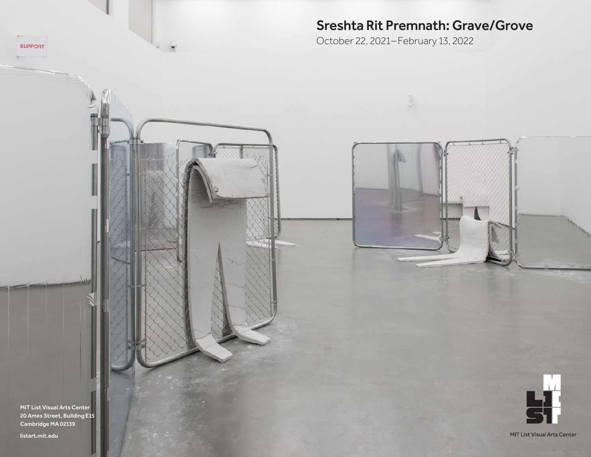# Sreshta Rit Premnath: Grave/Grove

October 22, 2021–February 13, 2022

MIT List Visual Arts Center 20 Ames Street, Building E15 Cambridge MA 02139

[listart.mit.edu](http://listart.mit.edu)

 $\tau_{\rm c}$ 

**SUPPORT**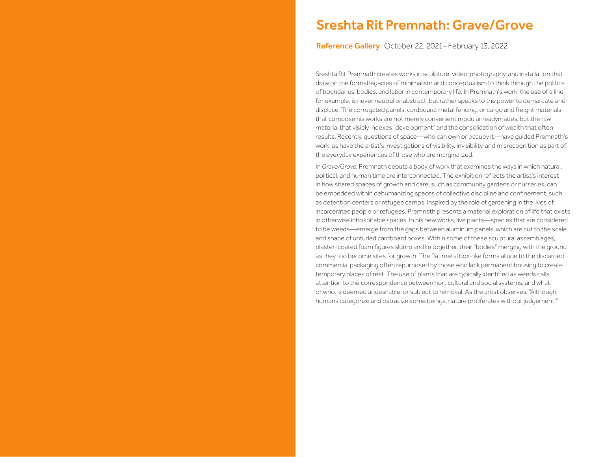# Sreshta Rit Premnath: Grave/Grove

Reference Gallery October 22, 2021–February 13, 2022

Sreshta Rit Premnath creates works in sculpture, video, photography, and installation that draw on the formal legacies of minimalism and conceptualism to think through the politics of boundaries, bodies, and labor in contemporary life. In Premnath's work, the use of a line, for example, is never neutral or abstract, but rather speaks to the power to demarcate and displace. The corrugated panels, cardboard, metal fencing, or cargo and freight materials that compose his works are not merely convenient modular readymades, but the raw material that visibly indexes "development" and the consolidation of wealth that often results. Recently, questions of space—who can own or occupy it—have guided Premnath's work, as have the artist's investigations of visibility, invisibility, and misrecognition as part of the everyday experiences of those who are marginalized.

In *Grave/Grove,* Premnath debuts a body of work that examines the ways in which natural, political, and human time are interconnected. The exhibition reflects the artist's interest in how shared spaces of growth and care, such as community gardens or nurseries, can be embedded within dehumanizing spaces of collective discipline and confinement, such as detention centers or refugee camps. Inspired by the role of gardening in the lives of incarcerated people or refugees, Premnath presents a material exploration of life that exists in otherwise inhospitable spaces. In his new works, live plants—species that are considered to be weeds—emerge from the gaps between aluminum panels, which are cut to the scale and shape of unfurled cardboard boxes. Within some of these sculptural assemblages, plaster-coated foam figures slump and lie together, their "bodies" merging with the ground as they too become sites for growth. The flat metal box-like forms allude to the discarded commercial packaging often repurposed by those who lack permanent housing to create temporary places of rest. The use of plants that are typically identified as weeds calls attention to the correspondence between horticultural and social systems, and what, or who, is deemed undesirable, or subject to removal. As the artist observes, "Although humans categorize and ostracize some beings, nature proliferates without judgement."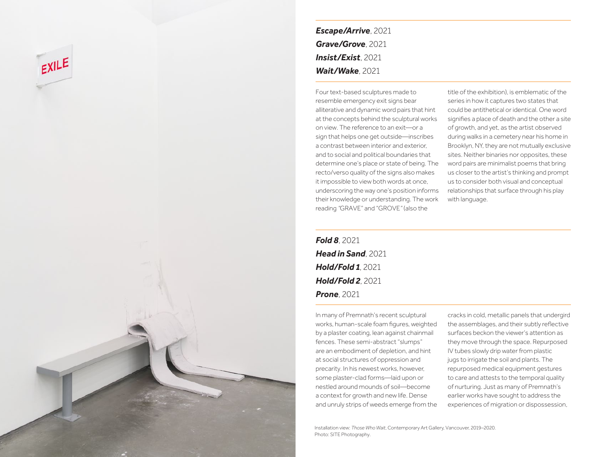

*Escape/Arrive*, 2021 *Grave/Grove*, 2021 *Insist/Exist*, 2021 *Wait/Wake*, 2021

Four text-based sculptures made to resemble emergency exit signs bear alliterative and dynamic word pairs that hint at the concepts behind the sculptural works on view. The reference to an exit—or a sign that helps one get outside—inscribes a contrast between interior and exterior, and to social and political boundaries that determine one's place or state of being. The recto/verso quality of the signs also makes it impossible to view both words at once, underscoring the way one's position informs their knowledge or understanding. The work reading *"*GRAVE" and "GROVE*"* (also the

title of the exhibition), is emblematic of the series in how it captures two states that could be antithetical or identical. One word signifies a place of death and the other a site of growth, and yet, as the artist observed during walks in a cemetery near his home in Brooklyn, NY, they are not mutually exclusive sites. Neither binaries nor opposites, these word pairs are minimalist poems that bring us closer to the artist's thinking and prompt us to consider both visual and conceptual relationships that surface through his play with language.

*Fold 8*, 2021 *Head in Sand*, 2021 *Hold/Fold 1*, 2021 *Hold/Fold 2*, 2021 *Prone*, 2021

In many of Premnath's recent sculptural works, human-scale foam figures, weighted by a plaster coating, lean against chainmail fences. These semi-abstract "slumps" are an embodiment of depletion, and hint at social structures of oppression and precarity. In his newest works, however, some plaster-clad forms—laid upon or nestled around mounds of soil—become a context for growth and new life. Dense and unruly strips of weeds emerge from the cracks in cold, metallic panels that undergird the assemblages, and their subtly reflective surfaces beckon the viewer's attention as they move through the space. Repurposed IV tubes slowly drip water from plastic jugs to irrigate the soil and plants. The repurposed medical equipment gestures to care and attests to the temporal quality of nurturing. Just as many of Premnath's earlier works have sought to address the experiences of migration or dispossession,

Installation view: *Those Who Wait*, Contemporary Art Gallery, Vancouver, 2019–2020. Photo: SITE Photography.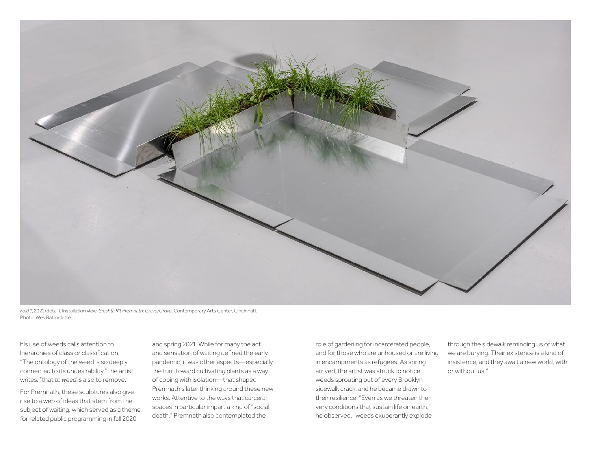

*Fold 1*, 2021 (detail). Installation view: *Sreshta Rit Premnath: Grave/Grove*, Contemporary Arts Center, Cincinnati. Photo: Wes Battoclette.

his use of weeds calls attention to hierarchies of class or classification. "The ontology of the weed is so deeply connected to its undesirability," the artist writes, "that *to weed* is also to remove."

For Premnath, these sculptures also give rise to a web of ideas that stem from the subject of waiting, which served as a theme for related public programming in fall 2020

and spring 2021. While for many the act and sensation of waiting defined the early pandemic, it was other aspects—especially the turn toward cultivating plants as a way of coping with isolation—that shaped Premnath's later thinking around these new works. Attentive to the ways that carceral spaces in particular impart a kind of "social death," Premnath also contemplated the

role of gardening for incarcerated people, and for those who are unhoused or are living in encampments as refugees. As spring arrived, the artist was struck to notice weeds sprouting out of every Brooklyn sidewalk crack, and he became drawn to their resilience. "Even as we threaten the very conditions that sustain life on earth," he observed, "weeds exuberantly explode

through the sidewalk reminding us of what we are burying. Their existence is a kind of insistence, and they await a new world, with or without us."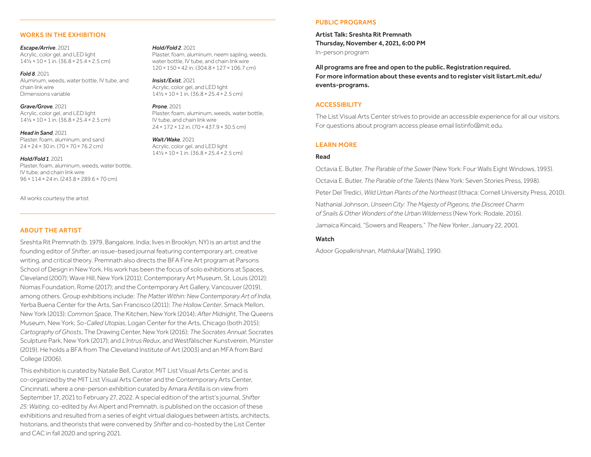#### WORKS IN THE EXHIBITION

*Escape/Arrive*, 2021 Acrylic, color gel, and LED light 14½×10×1 in. (36.8×25.4×2.5 cm)

*Fold 8*, 2021 Aluminum, weeds, water bottle, IV tube, and chain link wire Dimensions variable

*Grave/Grove*, 2021 Acrylic, color gel, and LED light 14½×10×1 in. (36.8×25.4×2.5 cm)

*Head in Sand*, 2021 Plaster, foam, aluminum, and sand 24×24×30 in. (70×70×76.2 cm)

#### *Hold/Fold 1*, 2021

Plaster, foam, aluminum, weeds, water bottle, IV tube, and chain link wire 96×114×24 in. (243.8×289.6×70 cm)

All works courtesy the artist

## ABOUT THE ARTIST

Sreshta Rit Premnath (b. 1979, Bangalore, India; lives in Brooklyn, NY) is an artist and the founding editor of *Shifter*, an issue-based journal featuring contemporary art, creative writing, and critical theory. Premnath also directs the BFA Fine Art program at Parsons School of Design in New York. His work has been the focus of solo exhibitions at Spaces, Cleveland (2007); Wave Hill, New York (2011); Contemporary Art Museum, St. Louis (2012); Nomas Foundation, Rome (2017); and the Contemporary Art Gallery, Vancouver (2019), among others. Group exhibitions include: *The Matter Within: New Contemporary Art of India*, Yerba Buena Center for the Arts, San Francisco (2011); *The Hollow Center*, Smack Mellon, New York (2013); *Common Space*, The Kitchen, New York (2014); *After Midnight*, The Queens Museum, New York; *So-Called Utopias*, Logan Center for the Arts, Chicago (both 2015); *Cartography of Ghosts*, The Drawing Center, New York (2016); *The Socrates Annual*; Socrates Sculpture Park, New York (2017); and *L'Intrus Redux*, and Westfälischer Kunstverein, Münster (2019). He holds a BFA from The Cleveland Institute of Art (2003) and an MFA from Bard College (2006).

*Hold/Fold 2*, 2021

*Insist/Exist*, 2021

*Wait/Wake*, 2021

*Prone*, 2021

Acrylic, color gel, and LED light 14½×10×1 in. (36.8×25.4×2.5 cm)

IV tube, and chain link wire

Acrylic, color gel, and LED light 14½×10×1 in. (36.8×25.4×2.5 cm)

Plaster, foam, aluminum, neem sapling, weeds, water bottle, IV tube, and chain link wire 120×150×42 in. (304.8×127×106.7 cm)

Plaster, foam, aluminum, weeds, water bottle,

24×172×12 in. (70×437.9×30.5 cm)

This exhibition is curated by Natalie Bell, Curator, MIT List Visual Arts Center, and is co-organized by the MIT List Visual Arts Center and the Contemporary Arts Center, Cincinnati, where a one-person exhibition curated by Amara Antilla is on view from September 17, 2021 to February 27, 2022. A special edition of the artist's journal, *Shifter 25: Waiting*, co-edited by Avi Alpert and Premnath, is published on the occasion of these exhibitions and resulted from a series of eight virtual dialogues between artists, architects, historians, and theorists that were convened by *Shifter* and co-hosted by the List Center and CAC in fall 2020 and spring 2021.

# PUBLIC PROGRAMS

Artist Talk: Sreshta Rit Premnath Thursday, November 4, 2021, 6:00 PM In-person program

All programs are free and open to the public. Registration required. For more information about these events and to register visit [listart.mit.edu/](listart.mit.edu/events-programs) [events-programs.](listart.mit.edu/events-programs) 

#### **ACCESSIBILITY**

The List Visual Arts Center strives to provide an accessible experience for all our visitors. For questions about program access please email [listinfo@mit.edu.](mailto:listinfo@mit.edu) 

#### LEARN MORE

#### Read

Octavia E. Butler, *The Parable of the Sower* (New York: Four Walls Eight Windows, 1993).

Octavia E. Butler, *The Parable of the Talents* (New York: Seven Stories Press, 1998).

Peter Del Tredici, *Wild Urban Plants of the Northeast* (Ithaca: Cornell University Press, 2010).

Nathanial Johnson, *Unseen City: The Majesty of Pigeons, the Discreet Charm of Snails & Other Wonders of the Urban Wilderness* (New York: Rodale, 2016).

Jamaica Kincaid, "Sowers and Reapers," *The New Yorker*, January 22, 2001.

#### Watch

Adoor Gopalkrishnan, *Mathilukal* [Walls], 1990.